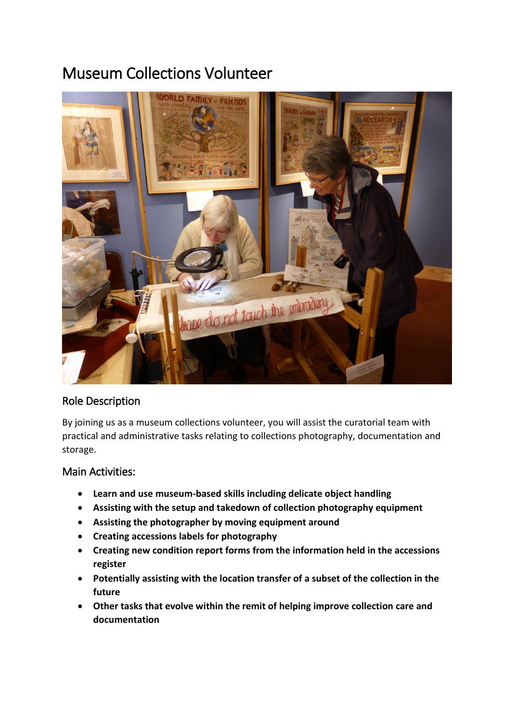# Museum Collections Volunteer



## Role Description

By joining us as a museum collections volunteer, you will assist the curatorial team with practical and administrative tasks relating to collections photography, documentation and storage.

## Main Activities:

- **Learn and use museum-based skills including delicate object handling**
- **Assisting with the setup and takedown of collection photography equipment**
- **Assisting the photographer by moving equipment around**
- **Creating accessions labels for photography**
- **Creating new condition report forms from the information held in the accessions register**
- **Potentially assisting with the location transfer of a subset of the collection in the future**
- **Other tasks that evolve within the remit of helping improve collection care and documentation**